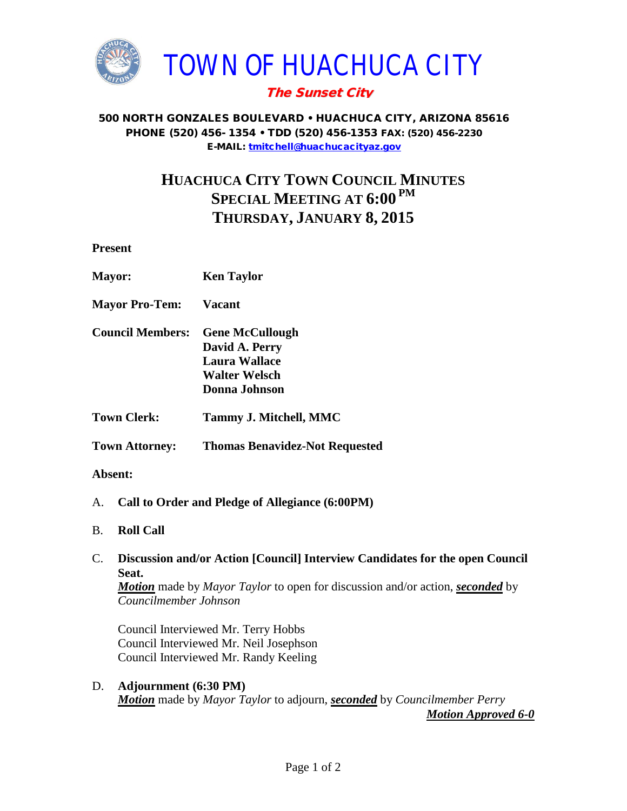

## The Sunset City

#### 500 NORTH GONZALES BOULEVARD • HUACHUCA CITY, ARIZONA 85616 PHONE (520) 456- 1354 • TDD (520) 456-1353 FAX: (520) 456-2230 E-MAIL: [tmitchell@huachucacityaz.gov](mailto:tmitchell@huachucacityaz.gov)

# **HUACHUCA CITY TOWN COUNCIL MINUTES SPECIAL MEETING AT 6:00 PM THURSDAY, JANUARY 8, 2015**

**Present**

| <b>Mayor:</b>           | <b>Ken Taylor</b>                                                                           |
|-------------------------|---------------------------------------------------------------------------------------------|
| <b>Mayor Pro-Tem:</b>   | Vacant                                                                                      |
| <b>Council Members:</b> | <b>Gene McCullough</b><br>David A. Perry<br>Laura Wallace<br>Walter Welsch<br>Donna Johnson |
| <b>Town Clerk:</b>      | Tammy J. Mitchell, MMC                                                                      |
| <b>Town Attorney:</b>   | <b>Thomas Benavidez-Not Requested</b>                                                       |

### **Absent:**

- A. **Call to Order and Pledge of Allegiance (6:00PM)**
- B. **Roll Call**

### C. **Discussion and/or Action [Council] Interview Candidates for the open Council Seat.** *Motion* made by *Mayor Taylor* to open for discussion and/or action, *seconded* by

*Councilmember Johnson*

Council Interviewed Mr. Terry Hobbs Council Interviewed Mr. Neil Josephson Council Interviewed Mr. Randy Keeling

D. **Adjournment (6:30 PM)** *Motion* made by *Mayor Taylor* to adjourn, *seconded* by *Councilmember Perry*

*Motion Approved 6-0*